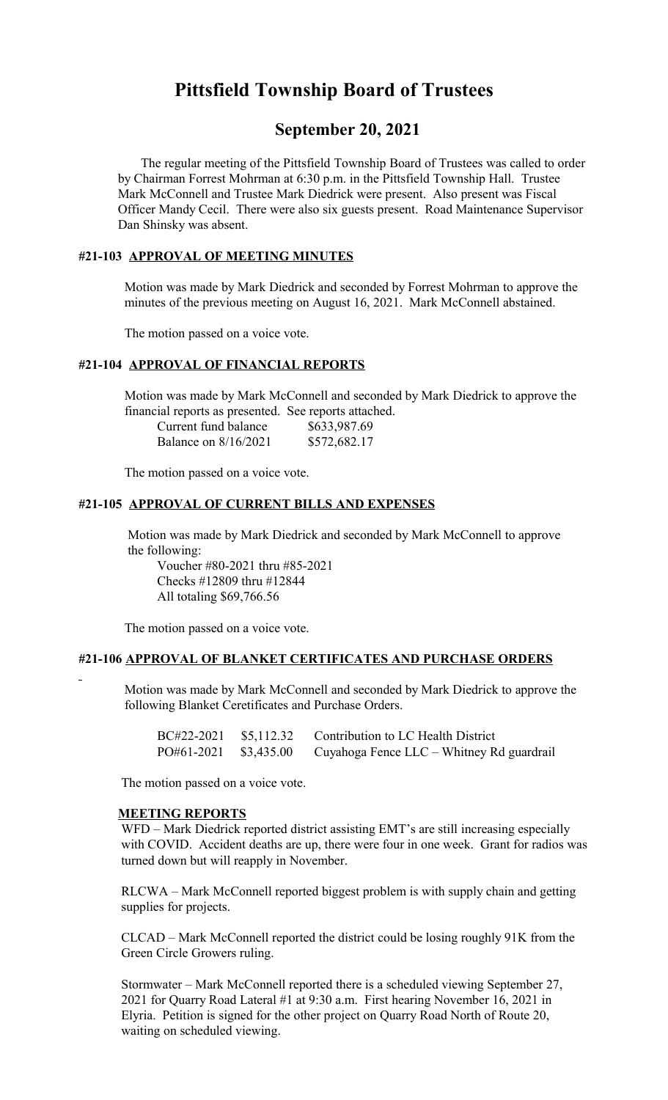# **Pittsfield Township Board of Trustees**

## **September 20, 2021**

 The regular meeting of the Pittsfield Township Board of Trustees was called to order by Chairman Forrest Mohrman at 6:30 p.m. in the Pittsfield Township Hall. Trustee Mark McConnell and Trustee Mark Diedrick were present. Also present was Fiscal Officer Mandy Cecil. There were also six guests present. Road Maintenance Supervisor Dan Shinsky was absent.

## **#21-103 APPROVAL OF MEETING MINUTES**

 Motion was made by Mark Diedrick and seconded by Forrest Mohrman to approve the minutes of the previous meeting on August 16, 2021. Mark McConnell abstained.

The motion passed on a voice vote.

## **#21-104 APPROVAL OF FINANCIAL REPORTS**

 Motion was made by Mark McConnell and seconded by Mark Diedrick to approve the financial reports as presented. See reports attached.

| Current fund balance | \$633,987.69 |
|----------------------|--------------|
| Balance on 8/16/2021 | \$572,682.17 |

The motion passed on a voice vote.

#### **#21-105 APPROVAL OF CURRENT BILLS AND EXPENSES**

 Motion was made by Mark Diedrick and seconded by Mark McConnell to approve the following:

Voucher #80-2021 thru #85-2021 Checks #12809 thru #12844 All totaling \$69,766.56

The motion passed on a voice vote.

#### **#21-106 APPROVAL OF BLANKET CERTIFICATES AND PURCHASE ORDERS**

 Motion was made by Mark McConnell and seconded by Mark Diedrick to approve the following Blanket Ceretificates and Purchase Orders.

|                       | BC#22-2021 \$5,112.32 Contribution to LC Health District |
|-----------------------|----------------------------------------------------------|
| PO#61-2021 \$3,435.00 | Cuyahoga Fence LLC – Whitney Rd guardrail                |

The motion passed on a voice vote.

## **MEETING REPORTS**

WFD – Mark Diedrick reported district assisting EMT's are still increasing especially with COVID. Accident deaths are up, there were four in one week. Grant for radios was turned down but will reapply in November.

RLCWA – Mark McConnell reported biggest problem is with supply chain and getting supplies for projects.

CLCAD – Mark McConnell reported the district could be losing roughly 91K from the Green Circle Growers ruling.

Stormwater – Mark McConnell reported there is a scheduled viewing September 27, 2021 for Quarry Road Lateral #1 at 9:30 a.m. First hearing November 16, 2021 in Elyria. Petition is signed for the other project on Quarry Road North of Route 20, waiting on scheduled viewing.